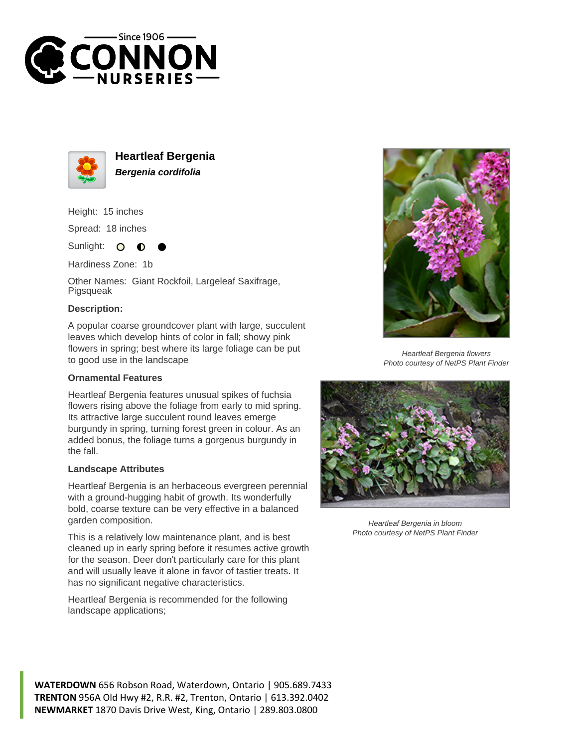



**Heartleaf Bergenia Bergenia cordifolia**

Height: 15 inches

Spread: 18 inches

Sunlight: O ∩

Hardiness Zone: 1b

Other Names: Giant Rockfoil, Largeleaf Saxifrage, Pigsqueak

## **Description:**

A popular coarse groundcover plant with large, succulent leaves which develop hints of color in fall; showy pink flowers in spring; best where its large foliage can be put to good use in the landscape

## **Ornamental Features**

Heartleaf Bergenia features unusual spikes of fuchsia flowers rising above the foliage from early to mid spring. Its attractive large succulent round leaves emerge burgundy in spring, turning forest green in colour. As an added bonus, the foliage turns a gorgeous burgundy in the fall.

## **Landscape Attributes**

Heartleaf Bergenia is an herbaceous evergreen perennial with a ground-hugging habit of growth. Its wonderfully bold, coarse texture can be very effective in a balanced garden composition.

This is a relatively low maintenance plant, and is best cleaned up in early spring before it resumes active growth for the season. Deer don't particularly care for this plant and will usually leave it alone in favor of tastier treats. It has no significant negative characteristics.

Heartleaf Bergenia is recommended for the following landscape applications;



Heartleaf Bergenia flowers Photo courtesy of NetPS Plant Finder



Heartleaf Bergenia in bloom Photo courtesy of NetPS Plant Finder

**WATERDOWN** 656 Robson Road, Waterdown, Ontario | 905.689.7433 **TRENTON** 956A Old Hwy #2, R.R. #2, Trenton, Ontario | 613.392.0402 **NEWMARKET** 1870 Davis Drive West, King, Ontario | 289.803.0800